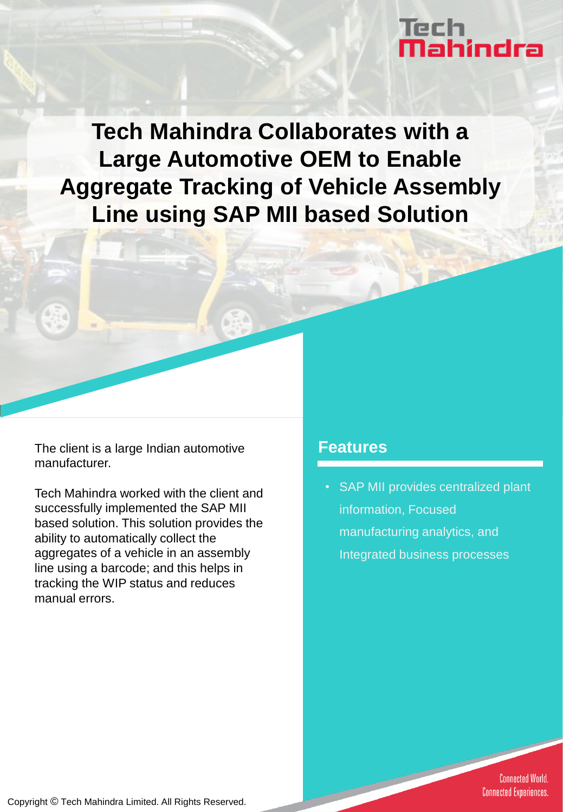# Tech<br>**Mahindra**

**Tech Mahindra Collaborates with a Large Automotive OEM to Enable Aggregate Tracking of Vehicle Assembly Line using SAP MII based Solution** 

The client is a large Indian automotive **Features** manufacturer.

Tech Mahindra worked with the client and successfully implemented the SAP MII based solution. This solution provides the ability to automatically collect the aggregates of a vehicle in an assembly line using a barcode; and this helps in tracking the WIP status and reduces manual errors.

SAP MII provides centralized plant information, Focused manufacturing analytics, and Integrated business processes

> **Connected World. Connected Experiences.**